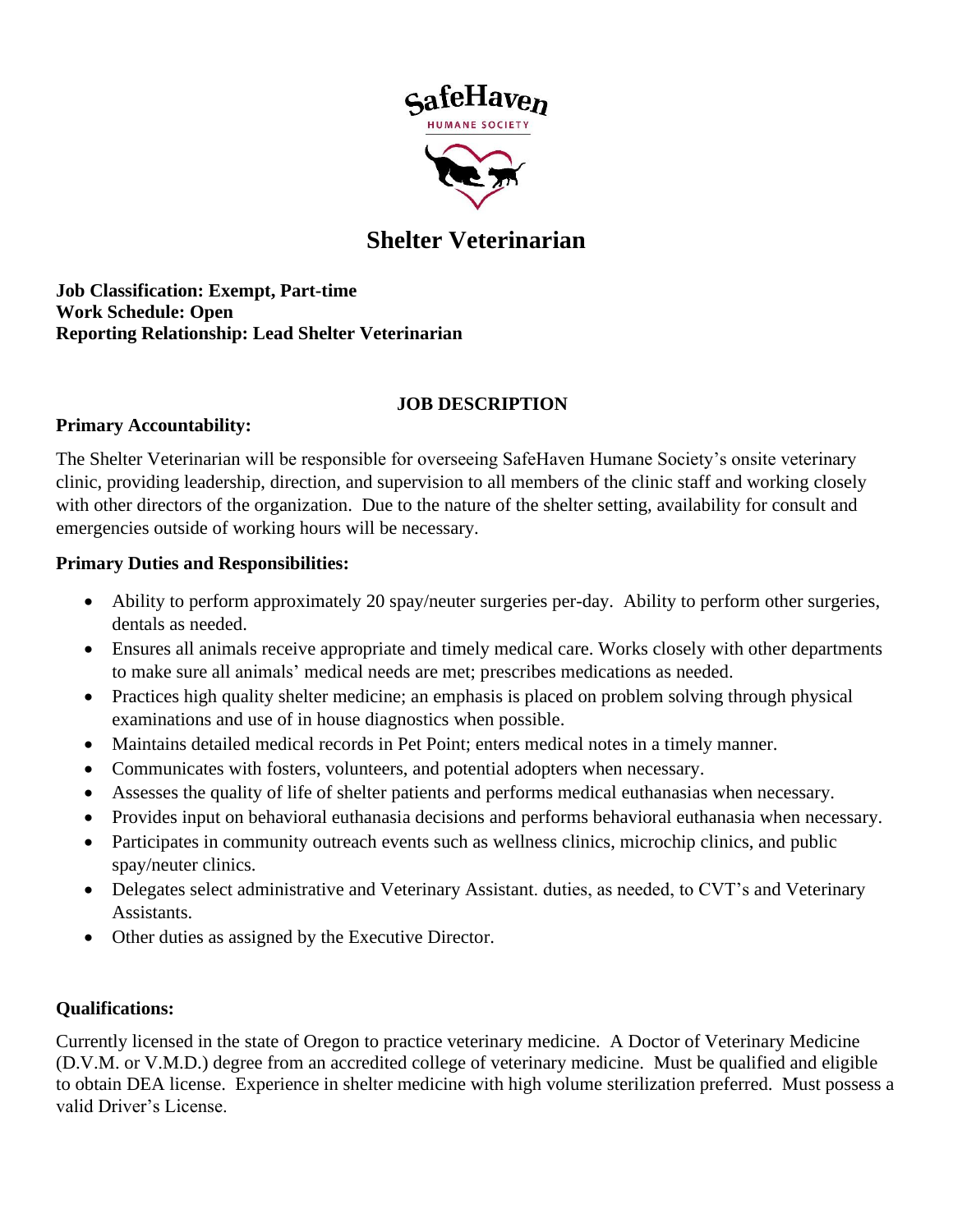

# **Shelter Veterinarian**

**Job Classification: Exempt, Part-time Work Schedule: Open Reporting Relationship: Lead Shelter Veterinarian**

## **JOB DESCRIPTION**

## **Primary Accountability:**

The Shelter Veterinarian will be responsible for overseeing SafeHaven Humane Society's onsite veterinary clinic, providing leadership, direction, and supervision to all members of the clinic staff and working closely with other directors of the organization. Due to the nature of the shelter setting, availability for consult and emergencies outside of working hours will be necessary.

## **Primary Duties and Responsibilities:**

- Ability to perform approximately 20 spay/neuter surgeries per-day. Ability to perform other surgeries, dentals as needed.
- Ensures all animals receive appropriate and timely medical care. Works closely with other departments to make sure all animals' medical needs are met; prescribes medications as needed.
- Practices high quality shelter medicine; an emphasis is placed on problem solving through physical examinations and use of in house diagnostics when possible.
- Maintains detailed medical records in Pet Point; enters medical notes in a timely manner.
- Communicates with fosters, volunteers, and potential adopters when necessary.
- Assesses the quality of life of shelter patients and performs medical euthanasias when necessary.
- Provides input on behavioral euthanasia decisions and performs behavioral euthanasia when necessary.
- Participates in community outreach events such as wellness clinics, microchip clinics, and public spay/neuter clinics.
- Delegates select administrative and Veterinary Assistant. duties, as needed, to CVT's and Veterinary Assistants.
- Other duties as assigned by the Executive Director.

# **Qualifications:**

Currently licensed in the state of Oregon to practice veterinary medicine. A Doctor of Veterinary Medicine (D.V.M. or V.M.D.) degree from an accredited college of veterinary medicine. Must be qualified and eligible to obtain DEA license. Experience in shelter medicine with high volume sterilization preferred. Must possess a valid Driver's License.